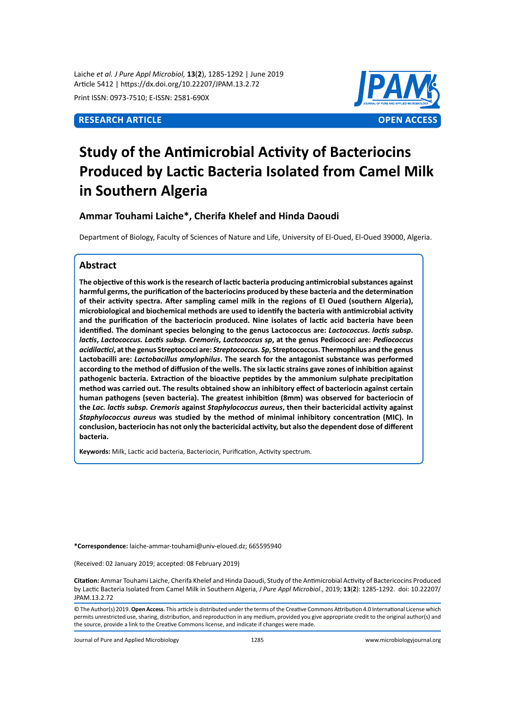Laiche *et al. J Pure Appl Microbiol,* **13**(**2**), 1285-1292 | June 2019 Article 5412 | https://dx.doi.org/10.22207/JPAM.13.2.72

Print ISSN: 0973-7510; E-ISSN: 2581-690X



# **Study of the Antimicrobial Activity of Bacteriocins Produced by Lactic Bacteria Isolated from Camel Milk in Southern Algeria**

# **Ammar Touhami Laiche\*, Cherifa Khelef and Hinda Daoudi**

Department of Biology, Faculty of Sciences of Nature and Life, University of El-Oued, El-Oued 39000, Algeria.

# **Abstract**

**The objective of this work is the research of lactic bacteria producing antimicrobial substances against harmful germs, the purification of the bacteriocins produced by these bacteria and the determination of their activity spectra. After sampling camel milk in the regions of El Oued (southern Algeria), microbiological and biochemical methods are used to identify the bacteria with antimicrobial activity and the purification of the bacteriocin produced. Nine isolates of lactic acid bacteria have been identified. The dominant species belonging to the genus Lactococcus are:** *Lactococcus. lactis subsp***.**  *lactis***,** *Lactococcus. Lactis subsp. Cremoris***,** *Lactococcus sp***, at the genus Pediococci are:** *Pediococcus acidilactici***, at the genus Streptococci are:** *Streptococcus. Sp***, Streptococcus. Thermophilus and the genus Lactobacilli are:** *Lactobacillus amylophilus***. The search for the antagonist substance was performed according to the method of diffusion of the wells. The six lactic strains gave zones of inhibition against pathogenic bacteria. Extraction of the bioactive peptides by the ammonium sulphate precipitation method was carried out. The results obtained show an inhibitory effect of bacteriocin against certain human pathogens (seven bacteria). The greatest inhibition (8mm) was observed for bacteriocin of the** *Lac. lactis subsp. Cremoris* **against** *Staphylococcus aureus***, then their bactericidal activity against**  *Staphylococcus aureus* **was studied by the method of minimal inhibitory concentration (MIC). In conclusion, bacteriocin has not only the bactericidal activity, but also the dependent dose of different bacteria.**

**Keywords:** Milk, Lactic acid bacteria, Bacteriocin, Purification, Activity spectrum.

**\*Correspondence:** laiche-ammar-touhami@univ-eloued.dz; 665595940

(Received: 02 January 2019; accepted: 08 February 2019)

**Citation:** Ammar Touhami Laiche, Cherifa Khelef and Hinda Daoudi, Study of the Antimicrobial Activity of Bactericocins Produced by Lactic Bacteria Isolated from Camel Milk in Southern Algeria, *J Pure Appl Microbiol*., 2019; **13**(**2**): 1285-1292. doi: 10.22207/ JPAM.13.2.72

© The Author(s) 2019. **Open Access**. This article is distributed under the terms of the Creative Commons Attribution 4.0 International License which permits unrestricted use, sharing, distribution, and reproduction in any medium, provided you give appropriate credit to the original author(s) and the source, provide a link to the Creative Commons license, and indicate if changes were made.

Journal of Pure and Applied Microbiology 1285 www.microbiologyjournal.org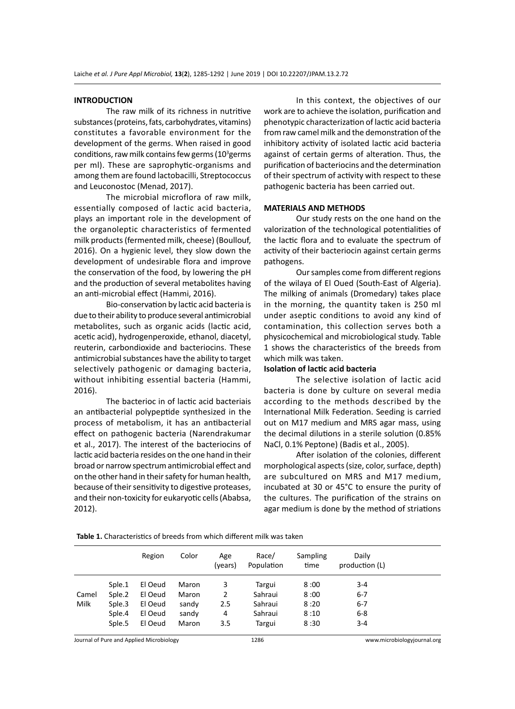#### **INTRODUCTION**

The raw milk of its richness in nutritive substances (proteins, fats, carbohydrates, vitamins) constitutes a favorable environment for the development of the germs. When raised in good conditions, raw milk contains few germs ( $10<sup>3</sup>$ germs per ml). These are saprophytic-organisms and among them are found lactobacilli, Streptococcus and Leuconostoc (Menad, 2017).

The microbial microflora of raw milk, essentially composed of lactic acid bacteria, plays an important role in the development of the organoleptic characteristics of fermented milk products (fermented milk, cheese) (Boullouf, 2016). On a hygienic level, they slow down the development of undesirable flora and improve the conservation of the food, by lowering the pH and the production of several metabolites having an anti-microbial effect (Hammi, 2016).

Bio-conservation by lactic acid bacteria is due to their ability to produce several antimicrobial metabolites, such as organic acids (lactic acid, acetic acid), hydrogenperoxide, ethanol, diacetyl, reuterin, carbondioxide and bacteriocins. These antimicrobial substances have the ability to target selectively pathogenic or damaging bacteria, without inhibiting essential bacteria (Hammi, 2016).

The bacterioc in of lactic acid bacteriais an antibacterial polypeptide synthesized in the process of metabolism, it has an antibacterial effect on pathogenic bacteria (Narendrakumar et al., 2017). The interest of the bacteriocins of lactic acid bacteria resides on the one hand in their broad or narrow spectrum antimicrobial effect and on the other hand in their safety for human health, because of their sensitivity to digestive proteases, and their non-toxicity for eukaryotic cells (Ababsa, 2012).

In this context, the objectives of our work are to achieve the isolation, purification and phenotypic characterization of lactic acid bacteria from raw camel milk and the demonstration of the inhibitory activity of isolated lactic acid bacteria against of certain germs of alteration. Thus, the purification of bacteriocins and the determination of their spectrum of activity with respect to these pathogenic bacteria has been carried out.

#### **MATERIALS AND METHODS**

Our study rests on the one hand on the valorization of the technological potentialities of the lactic flora and to evaluate the spectrum of activity of their bacteriocin against certain germs pathogens.

Our samples come from different regions of the wilaya of El Oued (South-East of Algeria). The milking of animals (Dromedary) takes place in the morning, the quantity taken is 250 ml under aseptic conditions to avoid any kind of contamination, this collection serves both a physicochemical and microbiological study. Table 1 shows the characteristics of the breeds from which milk was taken.

#### **Isolation of lactic acid bacteria**

The selective isolation of lactic acid bacteria is done by culture on several media according to the methods described by the International Milk Federation. Seeding is carried out on M17 medium and MRS agar mass, using the decimal dilutions in a sterile solution (0.85% NaCl, 0.1% Peptone) (Badis et al., 2005).

After isolation of the colonies, different morphological aspects (size, color, surface, depth) are subcultured on MRS and M17 medium, incubated at 30 or 45°C to ensure the purity of the cultures. The purification of the strains on agar medium is done by the method of striations

**Table 1.** Characteristics of breeds from which different milk was taken

|       |        | Region  | Color | Age<br>(years) | Race/<br>Population | Sampling<br>time | Daily<br>production (L) |  |
|-------|--------|---------|-------|----------------|---------------------|------------------|-------------------------|--|
|       | Sple.1 | El Oeud | Maron | 3              | Targui              | 8:00             | $3 - 4$                 |  |
| Camel | Sple.2 | El Oeud | Maron | 2              | Sahraui             | 8:00             | $6 - 7$                 |  |
| Milk  | Sple.3 | El Oeud | sandy | 2.5            | Sahraui             | 8:20             | $6 - 7$                 |  |
|       | Sple.4 | El Oeud | sandy | 4              | Sahraui             | 8:10             | $6 - 8$                 |  |
|       | Sple.5 | El Oeud | Maron | 3.5            | Targui              | 8:30             | $3 - 4$                 |  |

Journal of Pure and Applied Microbiology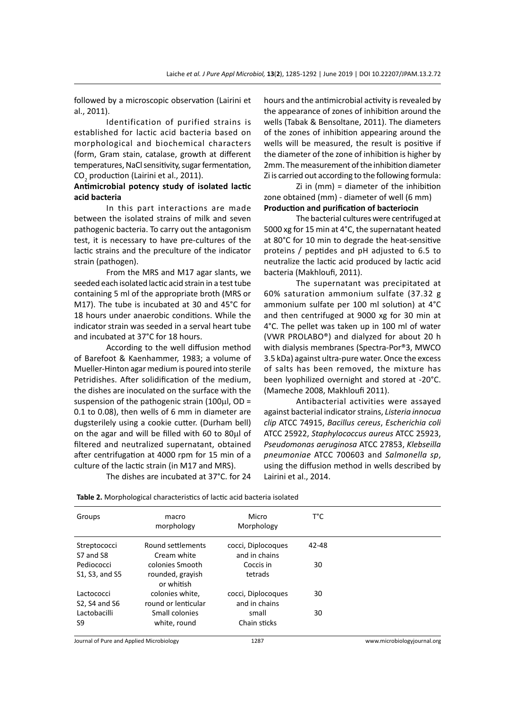followed by a microscopic observation (Lairini et al., 2011).

Identification of purified strains is established for lactic acid bacteria based on morphological and biochemical characters (form, Gram stain, catalase, growth at different temperatures, NaCl sensitivity, sugar fermentation,  $CO_{2}$  production (Lairini et al., 2011).

### **Antimicrobial potency study of isolated lactic acid bacteria**

In this part interactions are made between the isolated strains of milk and seven pathogenic bacteria. To carry out the antagonism test, it is necessary to have pre-cultures of the lactic strains and the preculture of the indicator strain (pathogen).

From the MRS and M17 agar slants, we seeded each isolated lactic acid strain in a test tube containing 5 ml of the appropriate broth (MRS or M17). The tube is incubated at 30 and 45°C for 18 hours under anaerobic conditions. While the indicator strain was seeded in a serval heart tube and incubated at 37°C for 18 hours.

According to the well diffusion method of Barefoot & Kaenhammer, 1983; a volume of Mueller-Hinton agar medium is poured into sterile Petridishes. After solidification of the medium, the dishes are inoculated on the surface with the suspension of the pathogenic strain  $(100\mu l, OD =$ 0.1 to 0.08), then wells of 6 mm in diameter are dugsterilely using a cookie cutter. (Durham bell) on the agar and will be filled with 60 to 80µl of filtered and neutralized supernatant, obtained after centrifugation at 4000 rpm for 15 min of a culture of the lactic strain (in M17 and MRS).

The dishes are incubated at 37°C. for 24

hours and the antimicrobial activity is revealed by the appearance of zones of inhibition around the wells (Tabak & Bensoltane, 2011). The diameters of the zones of inhibition appearing around the wells will be measured, the result is positive if the diameter of the zone of inhibition is higher by 2mm. The measurement of the inhibition diameter Zi is carried out according to the following formula:

Zi in (mm) = diameter of the inhibition zone obtained (mm) - diameter of well (6 mm) **Production and purification of bacteriocin**

The bacterial cultures were centrifuged at 5000 xg for 15 min at 4°C, the supernatant heated at 80°C for 10 min to degrade the heat-sensitive proteins / peptides and pH adjusted to 6.5 to neutralize the lactic acid produced by lactic acid bacteria (Makhloufi, 2011).

The supernatant was precipitated at 60% saturation ammonium sulfate (37.32 g ammonium sulfate per 100 ml solution) at 4°C and then centrifuged at 9000 xg for 30 min at 4°C. The pellet was taken up in 100 ml of water (VWR PROLABO®) and dialyzed for about 20 h with dialysis membranes (Spectra-Por®3, MWCO 3.5 kDa) against ultra-pure water. Once the excess of salts has been removed, the mixture has been lyophilized overnight and stored at -20°C. (Mameche 2008, Makhloufi 2011).

Antibacterial activities were assayed against bacterial indicator strains, *Listeria innocua clip* ATCC 74915, *Bacillus cereus*, *Escherichia coli* ATCC 25922, *Staphylococcus aureus* ATCC 25923, *Pseudomonas aeruginosa* ATCC 27853, *Klebseilla pneumoniae* ATCC 700603 and *Salmonella sp*, using the diffusion method in wells described by Lairini et al., 2014.

| Groups                          | macro<br>morphology                               | Micro<br>Morphology                 | т°с   |  |
|---------------------------------|---------------------------------------------------|-------------------------------------|-------|--|
| Streptococci<br>S7 and S8       | Round settlements<br>Cream white                  | cocci, Diplocoques<br>and in chains | 42-48 |  |
| Pediococci<br>\$1, \$3, and \$5 | colonies Smooth<br>rounded, grayish<br>or whitish | Coccis in<br>tetrads                | 30    |  |
| Lactococci<br>S2, S4 and S6     | colonies white,<br>round or lenticular            | cocci, Diplocoques<br>and in chains | 30    |  |
| Lactobacilli<br>S9              | Small colonies<br>white, round                    | small<br>Chain sticks               | 30    |  |

**Table 2.** Morphological characteristics of lactic acid bacteria isolated

Journal of Pure and Applied Microbiology 1287 www.microbiologyjournal.org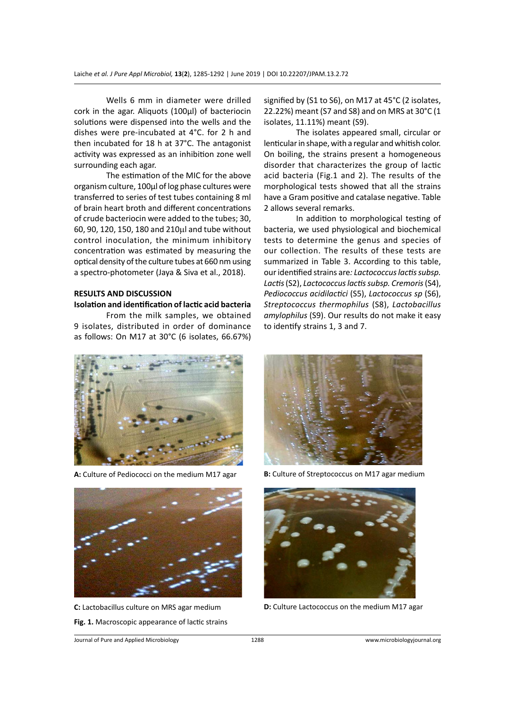Wells 6 mm in diameter were drilled cork in the agar. Aliquots (100µl) of bacteriocin solutions were dispensed into the wells and the dishes were pre-incubated at 4°C. for 2 h and then incubated for 18 h at 37°C. The antagonist activity was expressed as an inhibition zone well surrounding each agar.

The estimation of the MIC for the above organism culture, 100µl of log phase cultures were transferred to series of test tubes containing 8 ml of brain heart broth and different concentrations of crude bacteriocin were added to the tubes; 30, 60, 90, 120, 150, 180 and 210µl and tube without control inoculation, the minimum inhibitory concentration was estimated by measuring the optical density of the culture tubes at 660 nm using a spectro-photometer (Jaya & Siva et al., 2018).

#### **RESULTS AND DISCUSSION**

#### **Isolation and identification of lactic acid bacteria**

From the milk samples, we obtained 9 isolates, distributed in order of dominance as follows: On M17 at 30°C (6 isolates, 66.67%)

signified by (S1 to S6), on M17 at 45°C (2 isolates, 22.22%) meant (S7 and S8) and on MRS at 30°C (1 isolates, 11.11%) meant (S9).

The isolates appeared small, circular or lenticular in shape, with a regular and whitish color. On boiling, the strains present a homogeneous disorder that characterizes the group of lactic acid bacteria (Fig.1 and 2). The results of the morphological tests showed that all the strains have a Gram positive and catalase negative. Table 2 allows several remarks.

In addition to morphological testing of bacteria, we used physiological and biochemical tests to determine the genus and species of our collection. The results of these tests are summarized in Table 3. According to this table, our identified strains are*: Lactococcus lactis subsp. Lactis* (S2), *Lactococcus lactis subsp. Cremoris* (S4), *Pediococcus acidilactici* (S5), *Lactococcus sp* (S6), *Streptococcus thermophilus* (S8), *Lactobacillus amylophilus* (S9). Our results do not make it easy to identify strains 1, 3 and 7.



**A:** Culture of Pediococci on the medium M17 agar **B:** Culture of Streptococcus on M17 agar medium



**Fig. 1.** Macroscopic appearance of lactic strains





**C:** Lactobacillus culture on MRS agar medium **D:** Culture Lactococcus on the medium M17 agar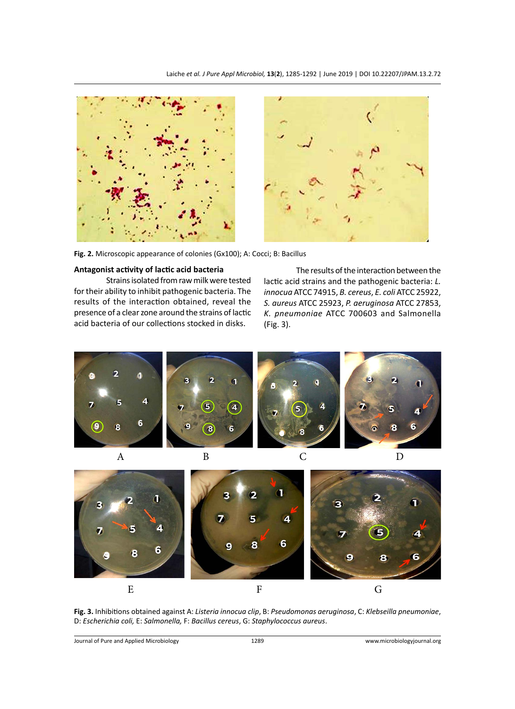

**Fig. 2.** Microscopic appearance of colonies (Gx100); A: Cocci; B: Bacillus

#### **Antagonist activity of lactic acid bacteria**

Strains isolated from raw milk were tested for their ability to inhibit pathogenic bacteria. The results of the interaction obtained, reveal the presence of a clear zone around the strains of lactic acid bacteria of our collections stocked in disks.

The results of the interaction between the lactic acid strains and the pathogenic bacteria: *L. innocua* ATCC 74915, *B. cereus*, *E. coli* ATCC 25922, *S. aureus* ATCC 25923, *P. aeruginosa* ATCC 27853, *K. pneumoniae* ATCC 700603 and Salmonella (Fig. 3).



**Fig. 3.** Inhibitions obtained against A: *Listeria innocua clip*, B: *Pseudomonas aeruginosa*, C: *Klebseilla pneumoniae*, D: *Escherichia coli,* E: *Salmonella,* F: *Bacillus cereus*, G: *Staphylococcus aureus*.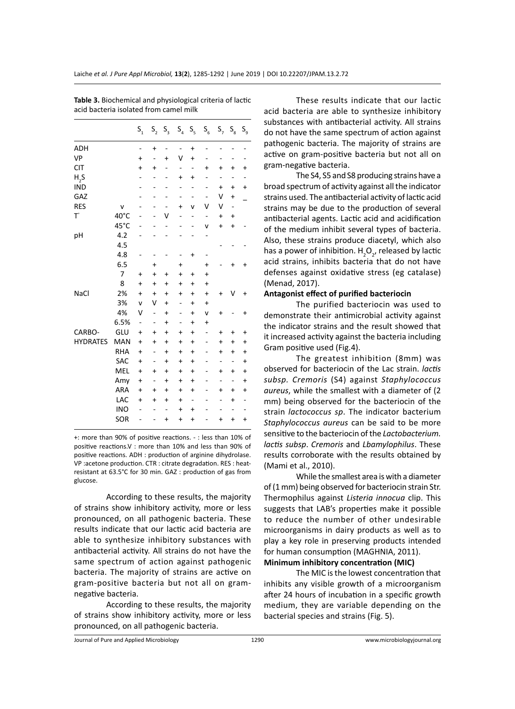|                 |                | $\mathsf{S}_\mathsf{1}$ | $\mathsf{S}_{\mathsf{2}}$ | $S_{3}$   | $\mathsf{S}_{_4}$ | $\mathsf{S}_{\mathsf{s}}$ | $\mathsf{S}_6$ |           | $S_7 S_8$ | $\mathsf{S}_{\mathsf{g}}$ |
|-----------------|----------------|-------------------------|---------------------------|-----------|-------------------|---------------------------|----------------|-----------|-----------|---------------------------|
| <b>ADH</b>      |                | -                       | $\ddot{}$                 | -         | -                 | $\ddot{}$                 | -              |           |           | -                         |
| VP              |                | +                       |                           | $\ddot{}$ | ٧                 | $\ddot{}$                 |                |           |           |                           |
| <b>CIT</b>      |                | $\ddot{}$               | $\ddot{}$                 |           | -                 | -                         | +              | $\ddot{}$ | $\ddot{}$ | +                         |
| $H_{2}S$        |                |                         |                           |           | +                 | $\ddot{}$                 | -              |           |           |                           |
| <b>IND</b>      |                |                         |                           |           | -                 |                           | -              | $\ddot{}$ | +         | $\ddot{}$                 |
| GAZ             |                |                         |                           |           | -                 | -                         | -              | ٧         | $\ddot{}$ |                           |
| <b>RES</b>      | v              |                         |                           | -         | $\ddot{}$         | v                         | ٧              | ٧         | -         |                           |
| $T^{\circ}$     | 40°C           |                         |                           | ٧         | -                 | -                         | -              | $\ddot{}$ | $\ddag$   |                           |
|                 | 45°C           |                         |                           |           |                   | -                         | ٧              | $\ddot{}$ | $\ddot{}$ |                           |
| pH              | 4.2            |                         |                           |           |                   |                           | -              |           |           |                           |
|                 | 4.5            |                         |                           |           |                   |                           |                |           |           |                           |
|                 | 4.8            |                         |                           |           | -                 | $\ddot{}$                 |                |           |           |                           |
|                 | 6.5            |                         | $\ddot{}$                 |           | +                 |                           | +              |           | +         | +                         |
|                 | $\overline{7}$ | $\ddot{}$               | $\ddot{}$                 | $\ddot{}$ | $\ddot{}$         | $\ddot{}$                 | $\ddot{}$      |           |           |                           |
|                 | 8              | $\ddot{}$               | $\ddot{}$                 | $\ddot{}$ | $\ddot{}$         | $\ddot{}$                 | $\ddot{}$      |           |           |                           |
| NaCl            | 2%             | $\ddot{}$               | $\ddot{}$                 | $\ddot{}$ | $\ddot{}$         | $\ddot{}$                 | $\ddot{}$      | +         | V         | $\ddot{}$                 |
|                 | 3%             | v                       | ٧                         | $\ddot{}$ | -                 | $\ddot{}$                 | $\ddot{}$      |           |           |                           |
|                 | 4%             | ٧                       | -                         | $\ddot{}$ |                   | $\ddot{}$                 | v              | $\ddot{}$ |           | +                         |
|                 | 6.5%           | -                       | -                         | $\ddot{}$ |                   | $\ddot{}$                 | $\ddot{}$      |           |           |                           |
| CARBO-          | GLU            | $\ddot{}$               | $\ddot{}$                 | $\ddot{}$ | $\ddot{}$         | $\ddot{}$                 | -              | $\ddot{}$ | +         | +                         |
| <b>HYDRATES</b> | MAN            | $\ddot{}$               | $\ddot{}$                 | $\ddot{}$ | $\ddot{}$         | $\ddot{}$                 | -              | +         | +         | $\ddot{}$                 |
|                 | <b>RHA</b>     | $\ddot{}$               | -                         | $\ddot{}$ | $\ddot{}$         | $\ddot{}$                 | -              | $\ddot{}$ | $\ddot{}$ | $\ddot{}$                 |
|                 | SAC            | $\ddot{}$               | ٠                         | $\ddot{}$ | +                 | $\ddot{}$                 |                |           |           | +                         |
|                 | MEL            | $\ddot{}$               | $\ddot{}$                 | $\ddot{}$ | $\ddot{}$         | $\ddot{}$                 |                | $\ddot{}$ | $\ddot{}$ | $\ddot{}$                 |
|                 | Amy            | $\ddot{}$               | -                         | +         | +                 | +                         | -              | -         | -         | $\ddot{}$                 |
|                 | ARA            | $\ddot{}$               | $\ddot{}$                 | $\ddot{}$ | $\ddot{}$         | $\ddot{}$                 |                | $\ddot{}$ | $\ddot{}$ | $\ddot{}$                 |
|                 | LAC            | $\ddot{}$               | $\ddot{}$                 | $\ddot{}$ | $\ddot{}$         | -                         |                |           | +         | -                         |
|                 | <b>INO</b>     |                         |                           | -         | $\ddot{}$         | $\ddot{}$                 |                |           |           |                           |
|                 | SOR            |                         |                           | $\ddot{}$ | +                 | +                         |                | $\ddot{}$ | +         | $\ddot{}$                 |

**Table 3.** Biochemical and physiological criteria of lactic acid bacteria isolated from camel milk

+: more than 90% of positive reactions. - : less than 10% of positive reactions.V : more than 10% and less than 90% of positive reactions. ADH : production of arginine dihydrolase. VP :acetone production. CTR : citrate degradation. RES : heatresistant at 63.5°C for 30 min. GAZ : production of gas from glucose.

According to these results, the majority of strains show inhibitory activity, more or less pronounced, on all pathogenic bacteria. These results indicate that our lactic acid bacteria are able to synthesize inhibitory substances with antibacterial activity. All strains do not have the same spectrum of action against pathogenic bacteria. The majority of strains are active on gram-positive bacteria but not all on gramnegative bacteria.

According to these results, the majority of strains show inhibitory activity, more or less pronounced, on all pathogenic bacteria.

These results indicate that our lactic acid bacteria are able to synthesize inhibitory substances with antibacterial activity. All strains do not have the same spectrum of action against pathogenic bacteria. The majority of strains are active on gram-positive bacteria but not all on gram-negative bacteria.

The S4, S5 and S8 producing strains have a broad spectrum of activity against all the indicator strains used. The antibacterial activity of lactic acid strains may be due to the production of several antibacterial agents. Lactic acid and acidification of the medium inhibit several types of bacteria. Also, these strains produce diacetyl, which also has a power of inhibition.  $H_2O_{2'}$  released by lactic acid strains, inhibits bacteria that do not have defenses against oxidative stress (eg catalase) (Menad, 2017).

#### **Antagonist effect of purified bacteriocin**

The purified bacteriocin was used to demonstrate their antimicrobial activity against the indicator strains and the result showed that it increased activity against the bacteria including Gram positive used (Fig.4).

The greatest inhibition (8mm) was observed for bacteriocin of the Lac strain. *lactis subsp. Cremoris* (S4) against *Staphylococcus aureus*, while the smallest with a diameter of (2 mm) being observed for the bacteriocin of the strain *lactococcus sp*. The indicator bacterium *Staphylococcus aureus* can be said to be more sensitive to the bacteriocin of the *Lactobacterium. lactis subsp*. *Cremoris* and *Lbamylophilus*. These results corroborate with the results obtained by (Mami et al., 2010).

While the smallest area is with a diameter of (1 mm) being observed for bacteriocin strain Str. Thermophilus against *Listeria innocua* clip. This suggests that LAB's properties make it possible to reduce the number of other undesirable microorganisms in dairy products as well as to play a key role in preserving products intended for human consumption (MAGHNIA, 2011).

# **Minimum inhibitory concentration (MIC)**

The MIC is the lowest concentration that inhibits any visible growth of a microorganism after 24 hours of incubation in a specific growth medium, they are variable depending on the bacterial species and strains (Fig. 5).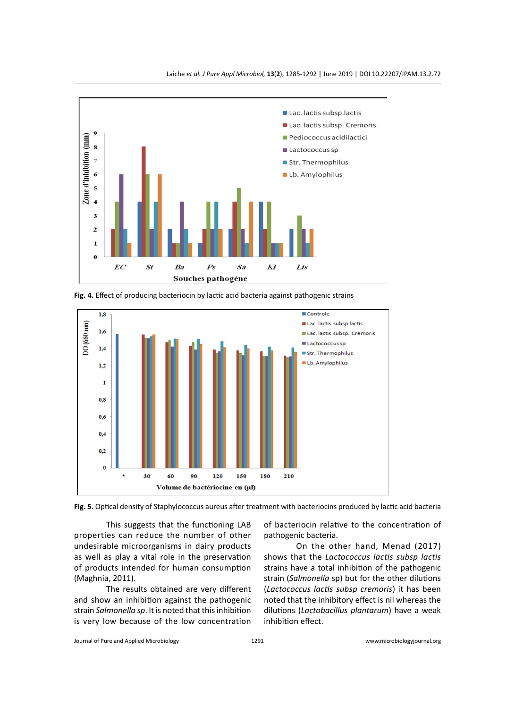





**Fig. 4.** Effect of producing bacteriocin by lactic acid bacteria against pathogenic strains

**Fig. 5.** Optical density of Staphylococcus aureus after treatment with bacteriocins produced by lactic acid bacteria

This suggests that the functioning LAB properties can reduce the number of other undesirable microorganisms in dairy products as well as play a vital role in the preservation of products intended for human consumption (Maghnia, 2011).

The results obtained are very different and show an inhibition against the pathogenic strain *Salmonella sp*. It is noted that this inhibition is very low because of the low concentration of bacteriocin relative to the concentration of pathogenic bacteria.

On the other hand, Menad (2017) shows that the *Lactococcus lactis subsp lactis* strains have a total inhibition of the pathogenic strain (*Salmonella* sp) but for the other dilutions (*Lactococcus lactis subsp cremoris*) it has been noted that the inhibitory effect is nil whereas the dilutions (*Lactobacillus plantarum*) have a weak inhibition effect.